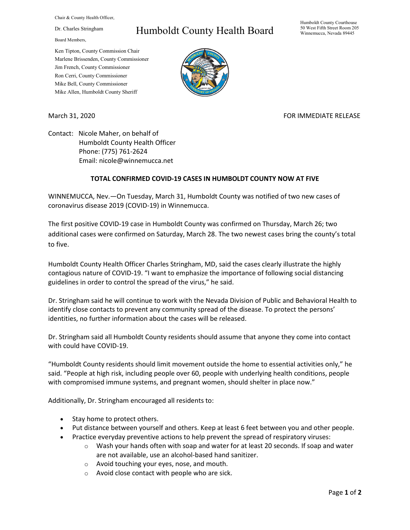Chair & County Health Officer,

Dr. Charles Stringham

Board Members,

## Humboldt County Health Board

Humboldt County Courthouse 50 West Fifth Street Room 205 Winnemucca, Nevada 89445

Ken Tipton, County Commission Chair Marlene Brissenden, County Commissioner Jim French, County Commissioner Ron Cerri, County Commissioner Mike Bell, County Commissioner Mike Allen, Humboldt County Sheriff

March 31, 2020 **FOR IMMEDIATE RELEASE** 

Contact: Nicole Maher, on behalf of Humboldt County Health Officer Phone: (775) 761-2624 Email: nicole@winnemucca.net

## **TOTAL CONFIRMED COVID-19 CASES IN HUMBOLDT COUNTY NOW AT FIVE**

WINNEMUCCA, Nev.—On Tuesday, March 31, Humboldt County was notified of two new cases of coronavirus disease 2019 (COVID-19) in Winnemucca.

The first positive COVID-19 case in Humboldt County was confirmed on Thursday, March 26; two additional cases were confirmed on Saturday, March 28. The two newest cases bring the county's total to five.

Humboldt County Health Officer Charles Stringham, MD, said the cases clearly illustrate the highly contagious nature of COVID-19. "I want to emphasize the importance of following social distancing guidelines in order to control the spread of the virus," he said.

Dr. Stringham said he will continue to work with the Nevada Division of Public and Behavioral Health to identify close contacts to prevent any community spread of the disease. To protect the persons' identities, no further information about the cases will be released.

Dr. Stringham said all Humboldt County residents should assume that anyone they come into contact with could have COVID-19.

"Humboldt County residents should limit movement outside the home to essential activities only," he said. "People at high risk, including people over 60, people with underlying health conditions, people with compromised immune systems, and pregnant women, should shelter in place now."

Additionally, Dr. Stringham encouraged all residents to:

- Stay home to protect others.
- Put distance between yourself and others. Keep at least 6 feet between you and other people.
- Practice everyday preventive actions to help prevent the spread of respiratory viruses:
	- $\circ$  Wash your hands often with soap and water for at least 20 seconds. If soap and water are not available, use an alcohol-based hand sanitizer.
	- o Avoid touching your eyes, nose, and mouth.
	- o Avoid close contact with people who are sick.